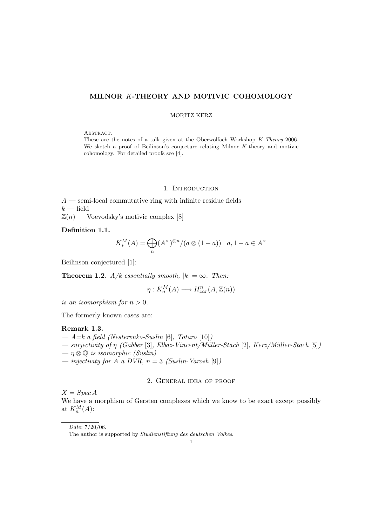## MILNOR K-THEORY AND MOTIVIC COHOMOLOGY

## MORITZ KERZ

ABSTRACT.

These are the notes of a talk given at the Oberwolfach Workshop K-Theory 2006. We sketch a proof of Beilinson's conjecture relating Milnor K-theory and motivic cohomology. For detailed proofs see [4].

## 1. INTRODUCTION

 $A$  — semi-local commutative ring with infinite residue fields  $k$  — field

 $\mathbb{Z}(n)$  — Voevodsky's motivic complex [8]

Definition 1.1.

$$
K_*^M(A) = \bigoplus_n (A^\times)^{\otimes n} / (a \otimes (1-a)) \quad a, 1-a \in A^\times
$$

Beilinson conjectured [1]:

**Theorem 1.2.**  $A/k$  essentially smooth,  $|k| = \infty$ . Then:

$$
\eta: K_n^M(A) \longrightarrow H^n_{zar}(A, \mathbb{Z}(n))
$$

is an isomorphism for  $n > 0$ .

The formerly known cases are:

### Remark 1.3.

- $-A=k$  a field (Nesterenko-Suslin [6], Totaro [10])
- $-$  surjectivity of  $\eta$  (Gabber [3], Elbaz-Vincent/Müller-Stach [2], Kerz/Müller-Stach [5])
- $-\eta \otimes \mathbb{Q}$  is isomorphic (Suslin)
- injectivity for A a DVR,  $n = 3$  (Suslin-Yarosh [9])

# 2. General idea of proof

 $X = Spec A$ 

We have a morphism of Gersten complexes which we know to be exact except possibly at  $K_n^M(A)$ :

Date: 7/20/06.

The author is supported by Studienstiftung des deutschen Volkes.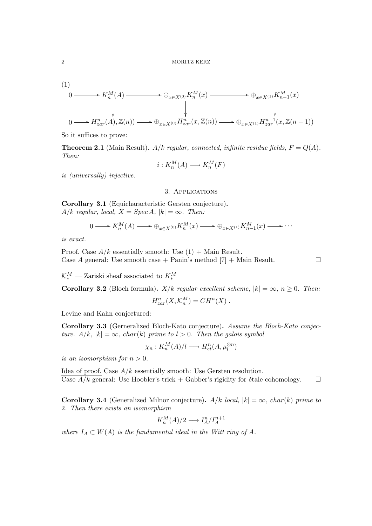### 2 MORITZ KERZ

(1)  
\n
$$
0 \longrightarrow K_n^M(A) \longrightarrow \bigoplus_{x \in X^{(0)}} K_n^M(x) \longrightarrow \bigoplus_{x \in X^{(1)}} K_{n-1}^M(x)
$$
\n
$$
\downarrow \qquad \qquad \downarrow
$$
\n
$$
0 \longrightarrow H_{zar}^n(A), \mathbb{Z}(n) \longrightarrow \bigoplus_{x \in X^{(0)}} H_{zar}^n(x, \mathbb{Z}(n)) \longrightarrow \bigoplus_{x \in X^{(1)}} H_{zar}^{n-1}(x, \mathbb{Z}(n-1))
$$

So it suffices to prove:

**Theorem 2.1** (Main Result).  $A/k$  regular, connected, infinite residue fields,  $F = Q(A)$ . Then:

$$
i: K_n^M(A) \longrightarrow K_n^M(F)
$$

is (universally) injective.

### 3. Applications

Corollary 3.1 (Equicharacteristic Gersten conjecture).  $A/k$  regular, local,  $X = Spec A$ ,  $|k| = \infty$ . Then:

$$
0 \longrightarrow K_n^M(A) \longrightarrow \bigoplus_{x \in X^{(0)}} K_n^M(x) \longrightarrow \bigoplus_{x \in X^{(1)}} K_{n-1}^M(x) \longrightarrow \cdots
$$

is exact.

Proof. Case  $A/k$  essentially smooth: Use  $(1) +$  Main Result. Case A general: Use smooth case + Panin's method  $|7|$  + Main Result.

 $\mathcal{K}^M_*$  — Zariski sheaf associated to  $K^M_*$ 

Corollary 3.2 (Bloch formula).  $X/k$  regular excellent scheme,  $|k| = \infty$ ,  $n \ge 0$ . Then:

$$
H_{zar}^n(X, \mathcal{K}_n^M) = CH^n(X) .
$$

Levine and Kahn conjectured:

Corollary 3.3 (Gerneralized Bloch-Kato conjecture). Assume the Bloch-Kato conjecture.  $A/k$ ,  $|k| = \infty$ , char(k) prime to  $l > 0$ . Then the galois symbol

$$
\chi_n: K_n^M(A)/l \longrightarrow H^n_{et}(A, \mu_l^{\otimes n})
$$

is an isomorphism for  $n > 0$ .

Idea of proof. Case  $A/k$  essentially smooth: Use Gersten resolution. Case  $A/k$  general: Use Hoobler's trick + Gabber's rigidity for étale cohomology.  $\square$ 

**Corollary 3.4** (Generalized Milnor conjecture).  $A/k$  *local*,  $|k| = \infty$ , *char(k)* prime to 2. Then there exists an isomorphism

$$
K_n^M(A)/2 \longrightarrow I_A^n/I_A^{n+1}
$$

where  $I_A \subset W(A)$  is the fundamental ideal in the Witt ring of A.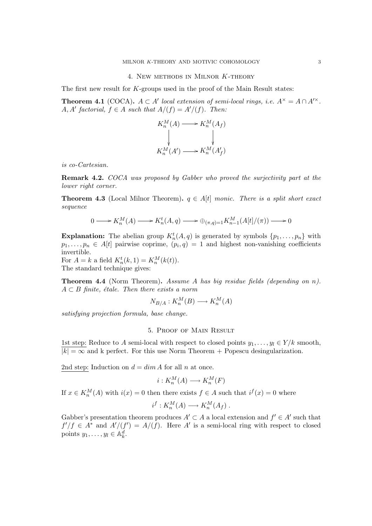#### 4. New methods in Milnor K-theory

The first new result for  $K$ -groups used in the proof of the Main Result states:

**Theorem 4.1** (COCA).  $A \subset A'$  local extension of semi-local rings, i.e.  $A^{\times} = A \cap A'^{\times}$ .  $A, A'$  factorial,  $f \in A$  such that  $A/(f) = A'/(f)$ . Then:

$$
K_n^M(A) \longrightarrow K_n^M(A_f)
$$
  
\n
$$
\downarrow \qquad \qquad \downarrow
$$
  
\n
$$
K_n^M(A') \longrightarrow K_n^M(A'_f)
$$

is co-Cartesian.

Remark 4.2. COCA was proposed by Gabber who proved the surjectivity part at the lower right corner.

**Theorem 4.3** (Local Milnor Theorem).  $q \in A[t]$  monic. There is a split short exact sequence

$$
0 \longrightarrow K_n^M(A) \longrightarrow K_n^t(A,q) \longrightarrow \bigoplus_{(\pi,q)=1} K_{n-1}^M(A[t]/(\pi)) \longrightarrow 0
$$

**Explanation:** The abelian group  $K_n^t(A,q)$  is generated by symbols  $\{p_1,\ldots,p_n\}$  with  $p_1, \ldots, p_n \in A[t]$  pairwise coprime,  $(p_i, q) = 1$  and highest non-vanishing coefficients invertible.

For  $A = k$  a field  $K_n^t(k, 1) = K_n^M(k(t)).$ The standard technique gives:

**Theorem 4.4** (Norm Theorem). Assume A has big residue fields (depending on n).  $A \subset B$  finite, étale. Then there exists a norm

$$
N_{B/A}: K_n^M(B) \longrightarrow K_n^M(A)
$$

satisfying projection formula, base change.

## 5. Proof of Main Result

1st step: Reduce to A semi-local with respect to closed points  $y_1, \ldots, y_l \in Y/k$  smooth,  $|k| = \infty$  and k perfect. For this use Norm Theorem + Popescu desingularization.

2nd step: Induction on  $d = \dim A$  for all n at once.

$$
i: K_n^M(A) \longrightarrow K_n^M(F)
$$

If  $x \in K_n^M(A)$  with  $i(x) = 0$  then there exists  $f \in A$  such that  $i^f(x) = 0$  where

$$
i^f: K_n^M(A) \longrightarrow K_n^M(A_f) .
$$

Gabber's presentation theorem produces  $A' \subset A$  a local extension and  $f' \in A'$  such that  $f'/f \in A^*$  and  $A'/(f') = A/(f)$ . Here A' is a semi-local ring with respect to closed points  $y_1, \ldots, y_l \in \mathbb{A}_k^d$ .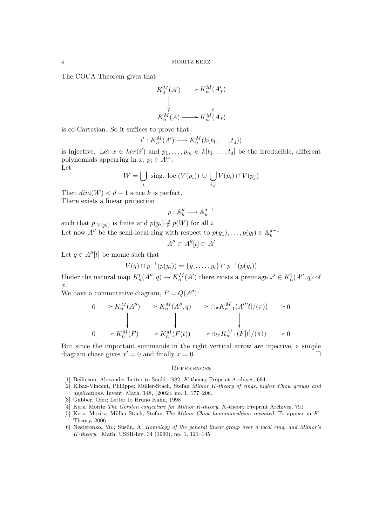The COCA Theorem gives that

$$
K_n^M(A') \longrightarrow K_n^M(A'_f)
$$
  
\n
$$
\downarrow \qquad \qquad \downarrow
$$
  
\n
$$
K_n^M(A) \longrightarrow K_n^M(A_f)
$$

is co-Cartesian. So it suffices to prove that

$$
i': K_n^M(A') \longrightarrow K_n^M(k(t_1,\ldots,t_d))
$$

is injective. Let  $x \in \text{ker}(i')$  and  $p_1, \ldots, p_m \in k[t_1, \ldots, t_d]$  be the irreducible, different polynomials appearing in  $x, p_i \in A'^{\times}$ . Let

$$
W = \bigcup_{i} \text{ sing. loc.}(V(p_i)) \cup \bigcup_{i,j} V(p_i) \cap V(p_j)
$$

Then  $dim(W) < d-1$  since k is perfect.

There exists a linear projection

$$
p:\mathbb{A}_k^d\longrightarrow \mathbb{A}_k^{d-1}
$$

such that  $p|_{V(p_i)}$  is finite and  $p(y_i) \notin p(W)$  for all *i*. Let now A'' be the semi-local ring with respect to  $p(y_1), \ldots, p(y_l) \in \mathbb{A}_k^{d-1}$ k

$$
A'' \subset A''[t] \subset A'
$$

Let  $q \in A''[t]$  be monic such that

$$
V(q) \cap p^{-1}(p(y_i)) = \{y_1, \ldots, y_l\} \cap p^{-1}(p(y_i))
$$

Under the natural map  $K_n^t(A'', q) \to K_n^M(A')$  there exists a preimage  $x' \in K_n^t(A'', q)$  of  $\mathcal{X}$ .

We have a commutative diagram,  $F = Q(A'')$ :

$$
0 \longrightarrow K_n^M(A'') \longrightarrow K_n^M(A'', q) \longrightarrow \bigoplus_{\pi} K_{n-1}^M(A''[t]/(\pi)) \longrightarrow 0
$$
  

$$
\downarrow \qquad \qquad \downarrow \qquad \qquad \downarrow
$$
  

$$
0 \longrightarrow K_n^M(F) \longrightarrow K_n^M(F(t)) \longrightarrow \bigoplus_{\pi} K_{n-1}^M(F[t]/(\pi)) \longrightarrow 0
$$

But since the important summands in the right vertical arrow are injective, a simple diagram chase gives  $x' = 0$  and finally  $x = 0$ .

### **REFERENCES**

- [1] Beilinson, Alexander Letter to Soulé, 1982, K-theory Preprint Archives, 694
- [2] Elbaz-Vincent, Philippe; Müller-Stach, Stefan Milnor K-theory of rings, higher Chow groups and applications. Invent. Math. 148, (2002), no. 1, 177–206.
- [3] Gabber, Ofer; Letter to Bruno Kahn, 1998
- [4] Kerz, Moritz The Gersten conjecture for Milnor K-theory. K-theory Preprint Archives, 791
- [5] Kerz, Moritz; Müller-Stach, Stefan The Milnor-Chow homomorphism revisited. To appear in K-Theory, 2006
- [6] Nesterenko, Yu.; Suslin, A. Homology of the general linear group over a local ring, and Milnor's K-theory. Math. USSR-Izv. 34 (1990), no. 1, 121–145